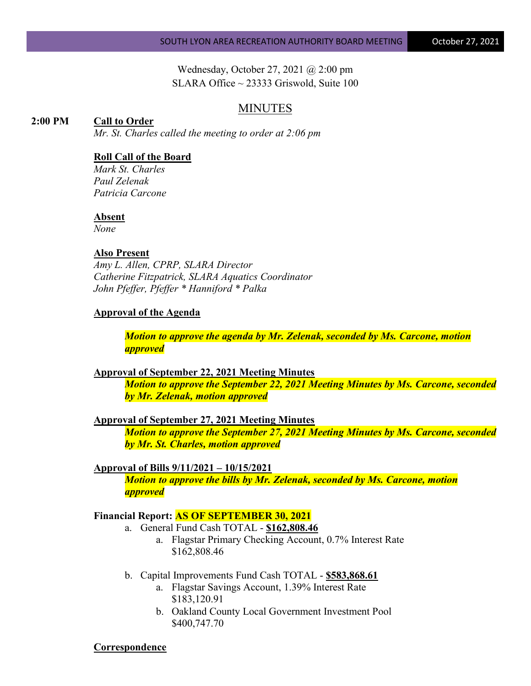Wednesday, October 27, 2021 @ 2:00 pm SLARA Office  $\sim$  23333 Griswold, Suite 100

## MINUTES

#### **2:00 PM Call to Order**

*Mr. St. Charles called the meeting to order at 2:06 pm*

## **Roll Call of the Board**

*Mark St. Charles Paul Zelenak Patricia Carcone*

#### **Absent**

*None*

# **Also Present**

*Amy L. Allen, CPRP, SLARA Director Catherine Fitzpatrick, SLARA Aquatics Coordinator John Pfeffer, Pfeffer \* Hanniford \* Palka*

#### **Approval of the Agenda**

*Motion to approve the agenda by Mr. Zelenak, seconded by Ms. Carcone, motion approved*

#### **Approval of September 22, 2021 Meeting Minutes**

*Motion to approve the September 22, 2021 Meeting Minutes by Ms. Carcone, seconded by Mr. Zelenak, motion approved*

**Approval of September 27, 2021 Meeting Minutes**

*Motion to approve the September 27, 2021 Meeting Minutes by Ms. Carcone, seconded by Mr. St. Charles, motion approved*

#### **Approval of Bills 9/11/2021 – 10/15/2021**

*Motion to approve the bills by Mr. Zelenak, seconded by Ms. Carcone, motion approved*

#### **Financial Report: AS OF SEPTEMBER 30, 2021**

- a. General Fund Cash TOTAL **\$162,808.46**
	- a. Flagstar Primary Checking Account, 0.7% Interest Rate \$162,808.46
- b. Capital Improvements Fund Cash TOTAL **\$583,868.61**
	- a. Flagstar Savings Account, 1.39% Interest Rate \$183,120.91
	- b. Oakland County Local Government Investment Pool \$400,747.70

#### **Correspondence**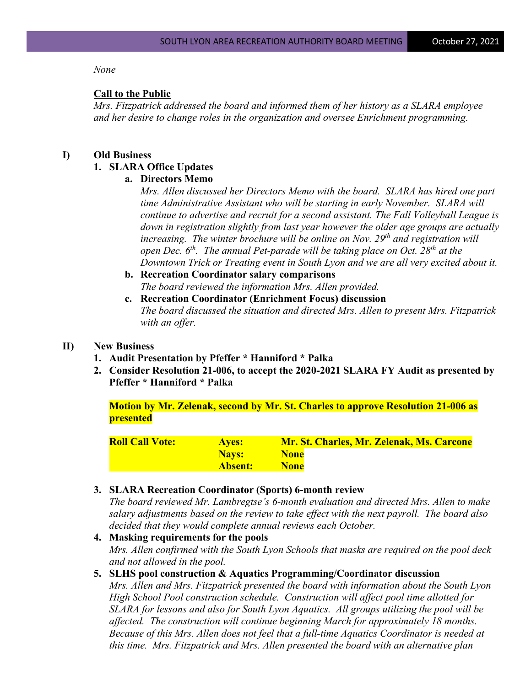### *None*

### **Call to the Public**

*Mrs. Fitzpatrick addressed the board and informed them of her history as a SLARA employee and her desire to change roles in the organization and oversee Enrichment programming.*

#### **I) Old Business**

## **1. SLARA Office Updates**

## **a. Directors Memo**

*Mrs. Allen discussed her Directors Memo with the board. SLARA has hired one part time Administrative Assistant who will be starting in early November. SLARA will continue to advertise and recruit for a second assistant. The Fall Volleyball League is down in registration slightly from last year however the older age groups are actually increasing. The winter brochure will be online on Nov. 29<sup>th</sup> and registration will open Dec.* 6<sup>th</sup>. The annual Pet-parade will be taking place on Oct. 28<sup>th</sup> at the *Downtown Trick or Treating event in South Lyon and we are all very excited about it.*

- **b. Recreation Coordinator salary comparisons**  *The board reviewed the information Mrs. Allen provided.*
- **c. Recreation Coordinator (Enrichment Focus) discussion** *The board discussed the situation and directed Mrs. Allen to present Mrs. Fitzpatrick with an offer.*

### **II) New Business**

- **1. Audit Presentation by Pfeffer \* Hanniford \* Palka**
- **2. Consider Resolution 21-006, to accept the 2020-2021 SLARA FY Audit as presented by Pfeffer \* Hanniford \* Palka**

**Motion by Mr. Zelenak, second by Mr. St. Charles to approve Resolution 21-006 as presented**

| <b>Roll Call Vote:</b> | <b>Aves:</b> | Mr. St. Charles, Mr. Zelenak, Ms. Carcone |
|------------------------|--------------|-------------------------------------------|
|                        | <b>Navs:</b> | <b>None</b>                               |
|                        | Absent:      | <b>None</b>                               |

### **3. SLARA Recreation Coordinator (Sports) 6-month review**

*The board reviewed Mr. Lambregtse's 6-month evaluation and directed Mrs. Allen to make salary adjustments based on the review to take effect with the next payroll. The board also decided that they would complete annual reviews each October.*

## **4. Masking requirements for the pools** *Mrs. Allen confirmed with the South Lyon Schools that masks are required on the pool deck and not allowed in the pool.*

#### **5. SLHS pool construction & Aquatics Programming/Coordinator discussion**

*Mrs. Allen and Mrs. Fitzpatrick presented the board with information about the South Lyon High School Pool construction schedule. Construction will affect pool time allotted for SLARA for lessons and also for South Lyon Aquatics. All groups utilizing the pool will be affected. The construction will continue beginning March for approximately 18 months. Because of this Mrs. Allen does not feel that a full-time Aquatics Coordinator is needed at this time. Mrs. Fitzpatrick and Mrs. Allen presented the board with an alternative plan*